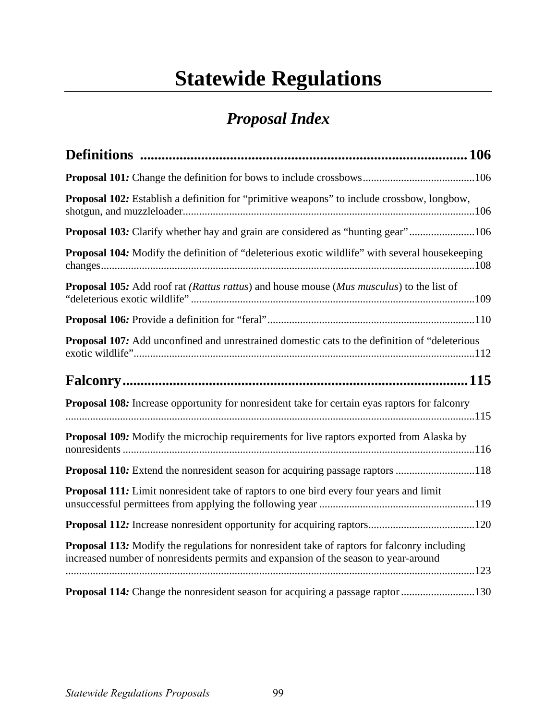## **Statewide Regulations**

## *Proposal Index*

| <b>Proposal 102:</b> Establish a definition for "primitive weapons" to include crossbow, longbow,                                                                                         |
|-------------------------------------------------------------------------------------------------------------------------------------------------------------------------------------------|
| <b>Proposal 103:</b> Clarify whether hay and grain are considered as "hunting gear"106                                                                                                    |
| <b>Proposal 104:</b> Modify the definition of "deleterious exotic wildlife" with several housekeeping                                                                                     |
| <b>Proposal 105:</b> Add roof rat <i>(Rattus rattus)</i> and house mouse <i>(Mus musculus)</i> to the list of                                                                             |
|                                                                                                                                                                                           |
| <b>Proposal 107:</b> Add unconfined and unrestrained domestic cats to the definition of "deleterious"                                                                                     |
|                                                                                                                                                                                           |
| <b>Proposal 108:</b> Increase opportunity for nonresident take for certain eyas raptors for falconry                                                                                      |
| Proposal 109: Modify the microchip requirements for live raptors exported from Alaska by                                                                                                  |
| <b>Proposal 110:</b> Extend the nonresident season for acquiring passage raptors 118                                                                                                      |
| <b>Proposal 111:</b> Limit nonresident take of raptors to one bird every four years and limit                                                                                             |
|                                                                                                                                                                                           |
| <b>Proposal 113:</b> Modify the regulations for nonresident take of raptors for falconry including<br>increased number of nonresidents permits and expansion of the season to year-around |
| Proposal 114: Change the nonresident season for acquiring a passage raptor 130                                                                                                            |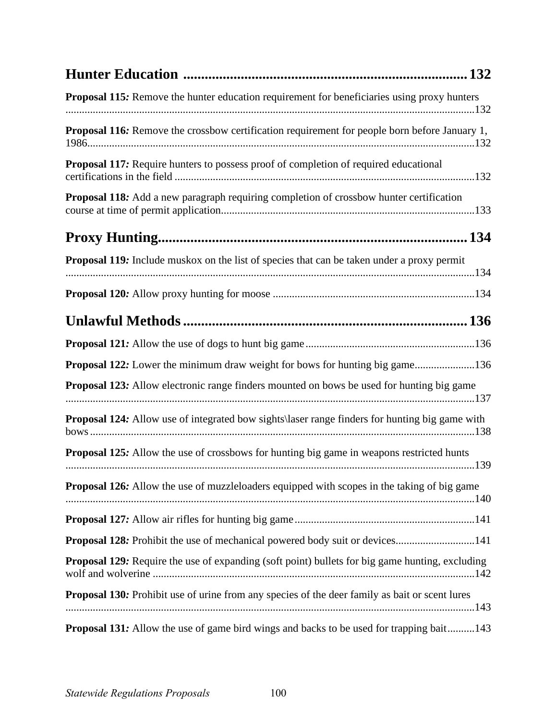| . 132                                                                                                  |
|--------------------------------------------------------------------------------------------------------|
| Proposal 115: Remove the hunter education requirement for beneficiaries using proxy hunters            |
| Proposal 116: Remove the crossbow certification requirement for people born before January 1,          |
| Proposal 117: Require hunters to possess proof of completion of required educational                   |
| <b>Proposal 118:</b> Add a new paragraph requiring completion of crossbow hunter certification         |
|                                                                                                        |
| Proposal 119: Include muskox on the list of species that can be taken under a proxy permit             |
|                                                                                                        |
|                                                                                                        |
|                                                                                                        |
| Proposal 122: Lower the minimum draw weight for bows for hunting big game136                           |
| Proposal 123: Allow electronic range finders mounted on bows be used for hunting big game              |
| Proposal 124: Allow use of integrated bow sights\laser range finders for hunting big game with         |
| <b>Proposal 125:</b> Allow the use of crossbows for hunting big game in weapons restricted hunts       |
| <b>Proposal 126:</b> Allow the use of muzzleloaders equipped with scopes in the taking of big game     |
|                                                                                                        |
| Proposal 128: Prohibit the use of mechanical powered body suit or devices141                           |
| <b>Proposal 129:</b> Require the use of expanding (soft point) bullets for big game hunting, excluding |
| Proposal 130: Prohibit use of urine from any species of the deer family as bait or scent lures         |
| Proposal 131: Allow the use of game bird wings and backs to be used for trapping bait143               |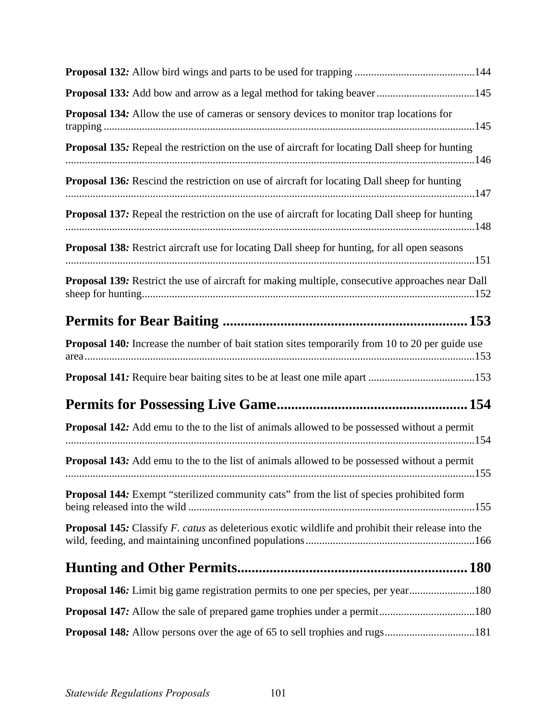| Proposal 133: Add bow and arrow as a legal method for taking beaver145                                    |
|-----------------------------------------------------------------------------------------------------------|
| <b>Proposal 134:</b> Allow the use of cameras or sensory devices to monitor trap locations for            |
| <b>Proposal 135:</b> Repeal the restriction on the use of aircraft for locating Dall sheep for hunting    |
| <b>Proposal 136:</b> Rescind the restriction on use of aircraft for locating Dall sheep for hunting       |
| <b>Proposal 137:</b> Repeal the restriction on the use of aircraft for locating Dall sheep for hunting    |
| Proposal 138: Restrict aircraft use for locating Dall sheep for hunting, for all open seasons             |
| Proposal 139: Restrict the use of aircraft for making multiple, consecutive approaches near Dall          |
|                                                                                                           |
| Proposal 140: Increase the number of bait station sites temporarily from 10 to 20 per guide use           |
|                                                                                                           |
|                                                                                                           |
| <b>Proposal 142:</b> Add emu to the to the list of animals allowed to be possessed without a permit       |
| <b>Proposal 143:</b> Add emu to the to the list of animals allowed to be possessed without a permit       |
| Proposal 144: Exempt "sterilized community cats" from the list of species prohibited form                 |
| <b>Proposal 145:</b> Classify F. catus as deleterious exotic wildlife and prohibit their release into the |
|                                                                                                           |
| Proposal 146: Limit big game registration permits to one per species, per year180                         |
|                                                                                                           |
|                                                                                                           |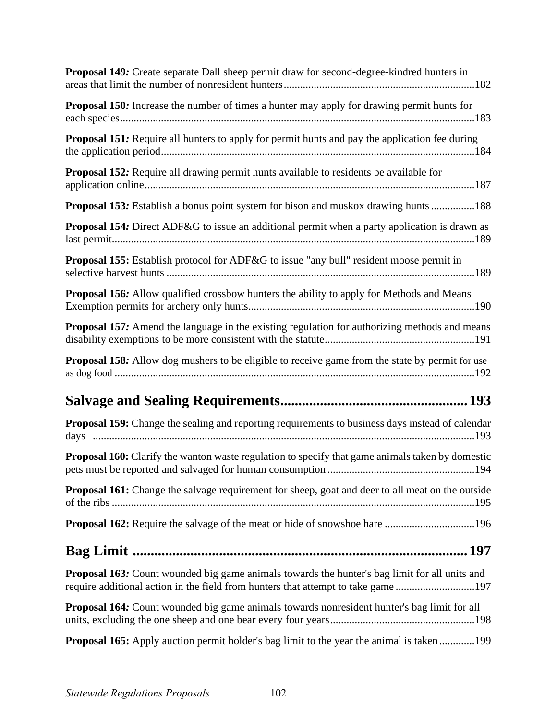| Proposal 149: Create separate Dall sheep permit draw for second-degree-kindred hunters in                                                                                                |
|------------------------------------------------------------------------------------------------------------------------------------------------------------------------------------------|
| Proposal 150: Increase the number of times a hunter may apply for drawing permit hunts for                                                                                               |
| <b>Proposal 151:</b> Require all hunters to apply for permit hunts and pay the application fee during                                                                                    |
| Proposal 152: Require all drawing permit hunts available to residents be available for                                                                                                   |
| Proposal 153: Establish a bonus point system for bison and muskox drawing hunts 188                                                                                                      |
| Proposal 154: Direct ADF&G to issue an additional permit when a party application is drawn as                                                                                            |
| Proposal 155: Establish protocol for ADF&G to issue "any bull" resident moose permit in                                                                                                  |
| <b>Proposal 156:</b> Allow qualified crossbow hunters the ability to apply for Methods and Means                                                                                         |
| <b>Proposal 157:</b> Amend the language in the existing regulation for authorizing methods and means                                                                                     |
| <b>Proposal 158:</b> Allow dog mushers to be eligible to receive game from the state by permit for use                                                                                   |
|                                                                                                                                                                                          |
| Proposal 159: Change the sealing and reporting requirements to business days instead of calendar                                                                                         |
| <b>Proposal 160:</b> Clarify the wanton waste regulation to specify that game animals taken by domestic                                                                                  |
| <b>Proposal 161:</b> Change the salvage requirement for sheep, goat and deer to all meat on the outside                                                                                  |
|                                                                                                                                                                                          |
|                                                                                                                                                                                          |
| <b>Proposal 163:</b> Count wounded big game animals towards the hunter's bag limit for all units and<br>require additional action in the field from hunters that attempt to take game197 |
| <b>Proposal 164:</b> Count wounded big game animals towards nonresident hunter's bag limit for all                                                                                       |
| <b>Proposal 165:</b> Apply auction permit holder's bag limit to the year the animal is taken 199                                                                                         |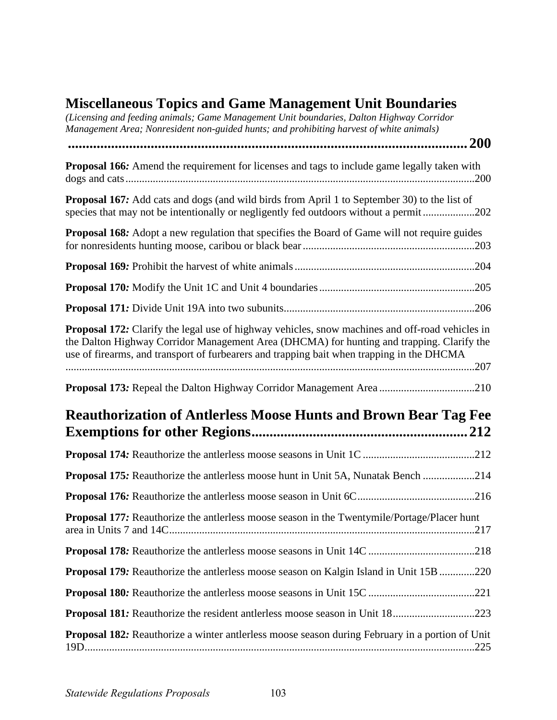## **Miscellaneous Topics and Game Management Unit Boundaries**

| міжнанов торкя ана банк манадсійсік они бойнай кя<br>(Licensing and feeding animals; Game Management Unit boundaries, Dalton Highway Corridor<br>Management Area; Nonresident non-guided hunts; and prohibiting harvest of white animals)                                                        |            |
|--------------------------------------------------------------------------------------------------------------------------------------------------------------------------------------------------------------------------------------------------------------------------------------------------|------------|
|                                                                                                                                                                                                                                                                                                  | <b>200</b> |
| <b>Proposal 166:</b> Amend the requirement for licenses and tags to include game legally taken with                                                                                                                                                                                              |            |
| <b>Proposal 167:</b> Add cats and dogs (and wild birds from April 1 to September 30) to the list of<br>species that may not be intentionally or negligently fed outdoors without a permit202                                                                                                     |            |
| Proposal 168: Adopt a new regulation that specifies the Board of Game will not require guides                                                                                                                                                                                                    |            |
|                                                                                                                                                                                                                                                                                                  |            |
|                                                                                                                                                                                                                                                                                                  |            |
|                                                                                                                                                                                                                                                                                                  |            |
| <b>Proposal 172:</b> Clarify the legal use of highway vehicles, snow machines and off-road vehicles in<br>the Dalton Highway Corridor Management Area (DHCMA) for hunting and trapping. Clarify the<br>use of firearms, and transport of furbearers and trapping bait when trapping in the DHCMA |            |
| Proposal 173: Repeal the Dalton Highway Corridor Management Area 210                                                                                                                                                                                                                             |            |
| <b>Reauthorization of Antierless Moose Hunts and Brown Bear Tag Fee</b>                                                                                                                                                                                                                          |            |
|                                                                                                                                                                                                                                                                                                  |            |
| <b>Proposal 175:</b> Reauthorize the antierless moose hunt in Unit 5A, Nunatak Bench 214                                                                                                                                                                                                         |            |
|                                                                                                                                                                                                                                                                                                  |            |
| <b>Proposal 177:</b> Reauthorize the antierless moose season in the Twentymile/Portage/Placer hunt                                                                                                                                                                                               |            |
|                                                                                                                                                                                                                                                                                                  |            |
| <b>Proposal 179:</b> Reauthorize the antierless moose season on Kalgin Island in Unit 15B 220                                                                                                                                                                                                    |            |
|                                                                                                                                                                                                                                                                                                  |            |
| <b>Proposal 181:</b> Reauthorize the resident antlerless moose season in Unit 18223                                                                                                                                                                                                              |            |
| <b>Proposal 182:</b> Reauthorize a winter antlerless moose season during February in a portion of Unit                                                                                                                                                                                           |            |